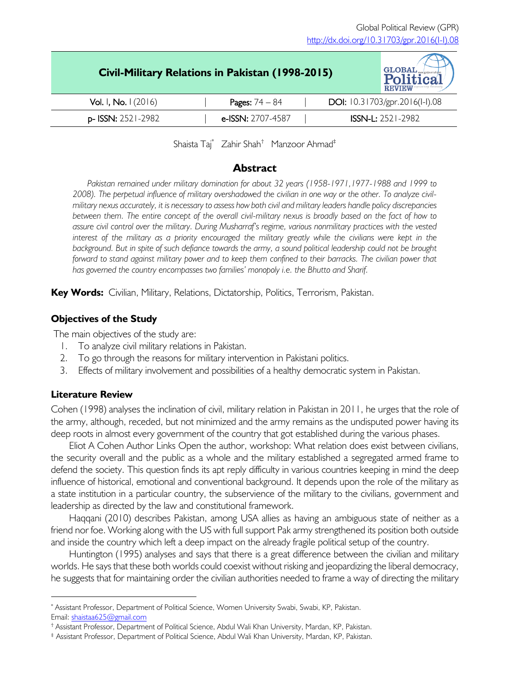| Civil-Military Relations in Pakistan (1998-2015) |  |                         |  | <b>GLOBAL</b><br><b>REVIEW</b>           |
|--------------------------------------------------|--|-------------------------|--|------------------------------------------|
| <b>Vol. I, No. I</b> (2016)                      |  | <b>Pages:</b> $74 - 84$ |  | <b>DOI:</b> $10.31703$ /gpr.2016(1-1).08 |
| <b>p-ISSN:</b> 2521-2982                         |  | e-ISSN: 2707-4587       |  | $ISSN-L: 2521-2982$                      |
|                                                  |  |                         |  |                                          |

Shaista Taj\* Zahir Shah† Manzoor Ahmad‡

## **Abstract**

Pakistan remained under military domination for about 32 years (1958-1971, 1977-1988 and 1999 to *2008). The perpetual influence of military overshadowed the civilian in one way or the other. To analyze civilmilitary nexus accurately, it is necessary to assess how both civil and military leaders handle policy discrepancies*  between them. The entire concept of the overall civil-military nexus is broadly based on the fact of how to *assure civil control over the military. During Musharraf's regime, various nonmilitary practices with the vested*  interest of the military as a priority encouraged the military greatly while the civilians were kept in the background. But in spite of such defiance towards the army, a sound political leadership could not be brought forward to stand against military power and to keep them confined to their barracks. The civilian power that *has governed the country encompasses two families' monopoly i.e. the Bhutto and Sharif.*

**Key Words:** Civilian, Military, Relations, Dictatorship, Politics, Terrorism, Pakistan.

# **Objectives of the Study**

The main objectives of the study are:

- 1. To analyze civil military relations in Pakistan.
- 2. To go through the reasons for military intervention in Pakistani politics.
- 3. Effects of military involvement and possibilities of a healthy democratic system in Pakistan.

## **Literature Review**

Cohen (1998) analyses the inclination of civil, military relation in Pakistan in 2011, he urges that the role of the army, although, receded, but not minimized and the army remains as the undisputed power having its deep roots in almost every government of the country that got established during the various phases.

Eliot A Cohen Author Links Open the author, workshop: What relation does exist between civilians, the security overall and the public as a whole and the military established a segregated armed frame to defend the society. This question finds its apt reply difficulty in various countries keeping in mind the deep influence of historical, emotional and conventional background. It depends upon the role of the military as a state institution in a particular country, the subservience of the military to the civilians, government and leadership as directed by the law and constitutional framework.

Haqqani (2010) describes Pakistan, among USA allies as having an ambiguous state of neither as a friend nor foe. Working along with the US with full support Pak army strengthened its position both outside and inside the country which left a deep impact on the already fragile political setup of the country.

Huntington (1995) analyses and says that there is a great difference between the civilian and military worlds. He says that these both worlds could coexist without risking and jeopardizing the liberal democracy, he suggests that for maintaining order the civilian authorities needed to frame a way of directing the military

<sup>\*</sup> Assistant Professor, Department of Political Science, Women University Swabi, Swabi, KP, Pakistan. Email: shaistaa625@gmail.com

<sup>†</sup> Assistant Professor, Department of Political Science, Abdul Wali Khan University, Mardan, KP, Pakistan.

<sup>‡</sup> Assistant Professor, Department of Political Science, Abdul Wali Khan University, Mardan, KP, Pakistan.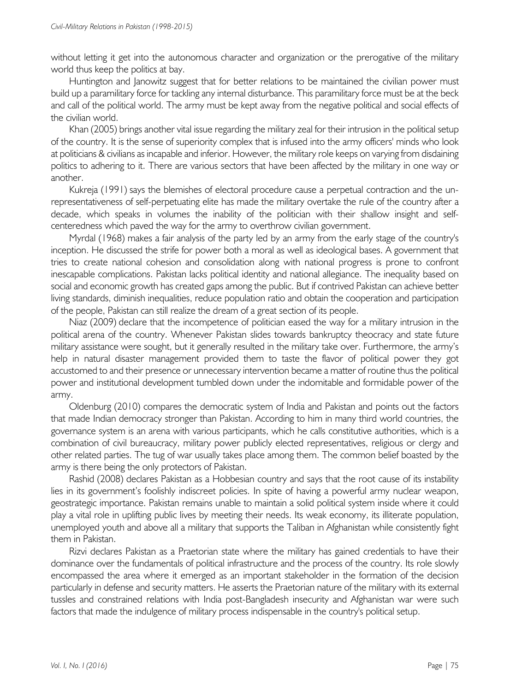without letting it get into the autonomous character and organization or the prerogative of the military world thus keep the politics at bay.

Huntington and Janowitz suggest that for better relations to be maintained the civilian power must build up a paramilitary force for tackling any internal disturbance. This paramilitary force must be at the beck and call of the political world. The army must be kept away from the negative political and social effects of the civilian world.

Khan (2005) brings another vital issue regarding the military zeal for their intrusion in the political setup of the country. It is the sense of superiority complex that is infused into the army officers' minds who look at politicians & civilians as incapable and inferior. However, the military role keeps on varying from disdaining politics to adhering to it. There are various sectors that have been affected by the military in one way or another.

Kukreja (1991) says the blemishes of electoral procedure cause a perpetual contraction and the unrepresentativeness of self-perpetuating elite has made the military overtake the rule of the country after a decade, which speaks in volumes the inability of the politician with their shallow insight and selfcenteredness which paved the way for the army to overthrow civilian government.

Myrdal (1968) makes a fair analysis of the party led by an army from the early stage of the country's inception. He discussed the strife for power both a moral as well as ideological bases. A government that tries to create national cohesion and consolidation along with national progress is prone to confront inescapable complications. Pakistan lacks political identity and national allegiance. The inequality based on social and economic growth has created gaps among the public. But if contrived Pakistan can achieve better living standards, diminish inequalities, reduce population ratio and obtain the cooperation and participation of the people, Pakistan can still realize the dream of a great section of its people.

Niaz (2009) declare that the incompetence of politician eased the way for a military intrusion in the political arena of the country. Whenever Pakistan slides towards bankruptcy theocracy and state future military assistance were sought, but it generally resulted in the military take over. Furthermore, the army's help in natural disaster management provided them to taste the flavor of political power they got accustomed to and their presence or unnecessary intervention became a matter of routine thus the political power and institutional development tumbled down under the indomitable and formidable power of the army.

Oldenburg (2010) compares the democratic system of India and Pakistan and points out the factors that made Indian democracy stronger than Pakistan. According to him in many third world countries, the governance system is an arena with various participants, which he calls constitutive authorities, which is a combination of civil bureaucracy, military power publicly elected representatives, religious or clergy and other related parties. The tug of war usually takes place among them. The common belief boasted by the army is there being the only protectors of Pakistan.

Rashid (2008) declares Pakistan as a Hobbesian country and says that the root cause of its instability lies in its government's foolishly indiscreet policies. In spite of having a powerful army nuclear weapon, geostrategic importance. Pakistan remains unable to maintain a solid political system inside where it could play a vital role in uplifting public lives by meeting their needs. Its weak economy, its illiterate population, unemployed youth and above all a military that supports the Taliban in Afghanistan while consistently fight them in Pakistan.

Rizvi declares Pakistan as a Praetorian state where the military has gained credentials to have their dominance over the fundamentals of political infrastructure and the process of the country. Its role slowly encompassed the area where it emerged as an important stakeholder in the formation of the decision particularly in defense and security matters. He asserts the Praetorian nature of the military with its external tussles and constrained relations with India post-Bangladesh insecurity and Afghanistan war were such factors that made the indulgence of military process indispensable in the country's political setup.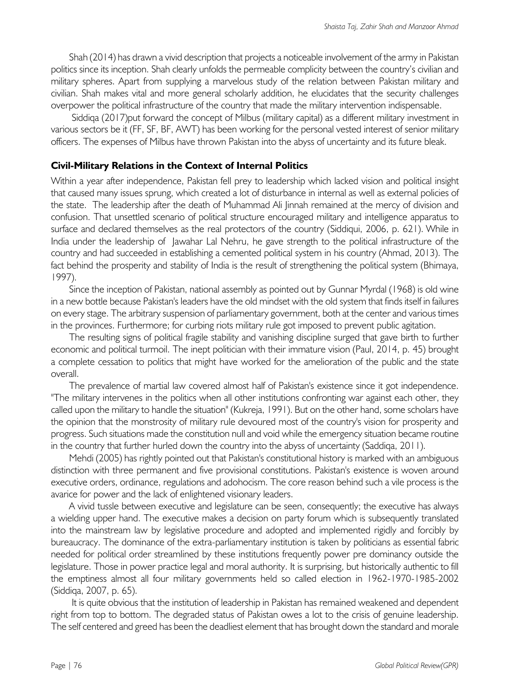Shah (2014) has drawn a vivid description that projects a noticeable involvement of the army in Pakistan politics since its inception. Shah clearly unfolds the permeable complicity between the country's civilian and military spheres. Apart from supplying a marvelous study of the relation between Pakistan military and civilian. Shah makes vital and more general scholarly addition, he elucidates that the security challenges overpower the political infrastructure of the country that made the military intervention indispensable.

Siddiqa (2017)put forward the concept of Milbus (military capital) as a different military investment in various sectors be it (FF, SF, BF, AWT) has been working for the personal vested interest of senior military officers. The expenses of Milbus have thrown Pakistan into the abyss of uncertainty and its future bleak.

#### **Civil-Military Relations in the Context of Internal Politics**

Within a year after independence, Pakistan fell prey to leadership which lacked vision and political insight that caused many issues sprung, which created a lot of disturbance in internal as well as external policies of the state. The leadership after the death of Muhammad Ali Jinnah remained at the mercy of division and confusion. That unsettled scenario of political structure encouraged military and intelligence apparatus to surface and declared themselves as the real protectors of the country (Siddiqui, 2006, p. 621). While in India under the leadership of Jawahar Lal Nehru, he gave strength to the political infrastructure of the country and had succeeded in establishing a cemented political system in his country (Ahmad, 2013). The fact behind the prosperity and stability of India is the result of strengthening the political system (Bhimaya, 1997).

Since the inception of Pakistan, national assembly as pointed out by Gunnar Myrdal (1968) is old wine in a new bottle because Pakistan's leaders have the old mindset with the old system that finds itself in failures on every stage. The arbitrary suspension of parliamentary government, both at the center and various times in the provinces. Furthermore; for curbing riots military rule got imposed to prevent public agitation.

The resulting signs of political fragile stability and vanishing discipline surged that gave birth to further economic and political turmoil. The inept politician with their immature vision (Paul, 2014, p. 45) brought a complete cessation to politics that might have worked for the amelioration of the public and the state overall.

The prevalence of martial law covered almost half of Pakistan's existence since it got independence. "The military intervenes in the politics when all other institutions confronting war against each other, they called upon the military to handle the situation" (Kukreja, 1991). But on the other hand, some scholars have the opinion that the monstrosity of military rule devoured most of the country's vision for prosperity and progress. Such situations made the constitution null and void while the emergency situation became routine in the country that further hurled down the country into the abyss of uncertainty (Saddiqa, 2011).

Mehdi (2005) has rightly pointed out that Pakistan's constitutional history is marked with an ambiguous distinction with three permanent and five provisional constitutions. Pakistan's existence is woven around executive orders, ordinance, regulations and adohocism. The core reason behind such a vile process is the avarice for power and the lack of enlightened visionary leaders.

A vivid tussle between executive and legislature can be seen, consequently; the executive has always a wielding upper hand. The executive makes a decision on party forum which is subsequently translated into the mainstream law by legislative procedure and adopted and implemented rigidly and forcibly by bureaucracy. The dominance of the extra-parliamentary institution is taken by politicians as essential fabric needed for political order streamlined by these institutions frequently power pre dominancy outside the legislature. Those in power practice legal and moral authority. It is surprising, but historically authentic to fill the emptiness almost all four military governments held so called election in 1962-1970-1985-2002 (Siddiqa, 2007, p. 65).

It is quite obvious that the institution of leadership in Pakistan has remained weakened and dependent right from top to bottom. The degraded status of Pakistan owes a lot to the crisis of genuine leadership. The self centered and greed has been the deadliest element that has brought down the standard and morale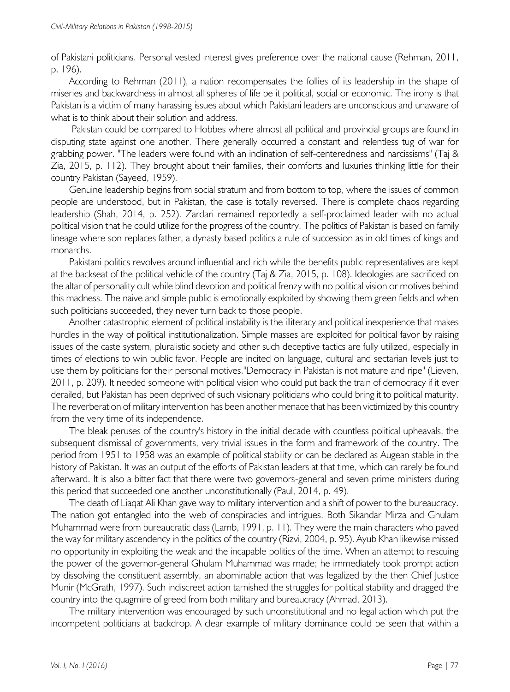of Pakistani politicians. Personal vested interest gives preference over the national cause (Rehman, 2011, p. 196).

According to Rehman (2011), a nation recompensates the follies of its leadership in the shape of miseries and backwardness in almost all spheres of life be it political, social or economic. The irony is that Pakistan is a victim of many harassing issues about which Pakistani leaders are unconscious and unaware of what is to think about their solution and address.

Pakistan could be compared to Hobbes where almost all political and provincial groups are found in disputing state against one another. There generally occurred a constant and relentless tug of war for grabbing power. "The leaders were found with an inclination of self-centeredness and narcissisms" (Taj & Zia, 2015, p. 112). They brought about their families, their comforts and luxuries thinking little for their country Pakistan (Sayeed, 1959).

Genuine leadership begins from social stratum and from bottom to top, where the issues of common people are understood, but in Pakistan, the case is totally reversed. There is complete chaos regarding leadership (Shah, 2014, p. 252). Zardari remained reportedly a self-proclaimed leader with no actual political vision that he could utilize for the progress of the country. The politics of Pakistan is based on family lineage where son replaces father, a dynasty based politics a rule of succession as in old times of kings and monarchs.

Pakistani politics revolves around influential and rich while the benefits public representatives are kept at the backseat of the political vehicle of the country (Taj & Zia, 2015, p. 108). Ideologies are sacrificed on the altar of personality cult while blind devotion and political frenzy with no political vision or motives behind this madness. The naive and simple public is emotionally exploited by showing them green fields and when such politicians succeeded, they never turn back to those people.

Another catastrophic element of political instability is the illiteracy and political inexperience that makes hurdles in the way of political institutionalization. Simple masses are exploited for political favor by raising issues of the caste system, pluralistic society and other such deceptive tactics are fully utilized, especially in times of elections to win public favor. People are incited on language, cultural and sectarian levels just to use them by politicians for their personal motives."Democracy in Pakistan is not mature and ripe" (Lieven, 2011, p. 209). It needed someone with political vision who could put back the train of democracy if it ever derailed, but Pakistan has been deprived of such visionary politicians who could bring it to political maturity. The reverberation of military intervention has been another menace that has been victimized by this country from the very time of its independence.

The bleak peruses of the country's history in the initial decade with countless political upheavals, the subsequent dismissal of governments, very trivial issues in the form and framework of the country. The period from 1951 to 1958 was an example of political stability or can be declared as Augean stable in the history of Pakistan. It was an output of the efforts of Pakistan leaders at that time, which can rarely be found afterward. It is also a bitter fact that there were two governors-general and seven prime ministers during this period that succeeded one another unconstitutionally (Paul, 2014, p. 49).

The death of Liaqat Ali Khan gave way to military intervention and a shift of power to the bureaucracy. The nation got entangled into the web of conspiracies and intrigues. Both Sikandar Mirza and Ghulam Muhammad were from bureaucratic class (Lamb, 1991, p. 11). They were the main characters who paved the way for military ascendency in the politics of the country (Rizvi, 2004, p. 95). Ayub Khan likewise missed no opportunity in exploiting the weak and the incapable politics of the time. When an attempt to rescuing the power of the governor-general Ghulam Muhammad was made; he immediately took prompt action by dissolving the constituent assembly, an abominable action that was legalized by the then Chief Justice Munir (McGrath, 1997). Such indiscreet action tarnished the struggles for political stability and dragged the country into the quagmire of greed from both military and bureaucracy (Ahmad, 2013).

The military intervention was encouraged by such unconstitutional and no legal action which put the incompetent politicians at backdrop. A clear example of military dominance could be seen that within a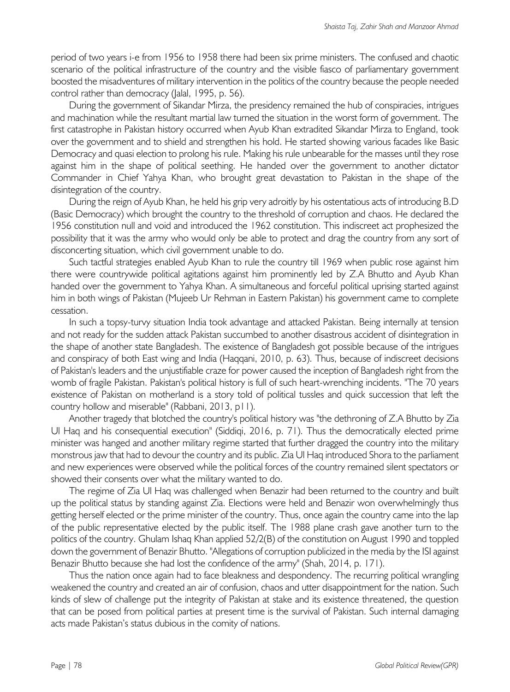period of two years i-e from 1956 to 1958 there had been six prime ministers. The confused and chaotic scenario of the political infrastructure of the country and the visible fiasco of parliamentary government boosted the misadventures of military intervention in the politics of the country because the people needed control rather than democracy (Jalal, 1995, p. 56).

During the government of Sikandar Mirza, the presidency remained the hub of conspiracies, intrigues and machination while the resultant martial law turned the situation in the worst form of government. The first catastrophe in Pakistan history occurred when Ayub Khan extradited Sikandar Mirza to England, took over the government and to shield and strengthen his hold. He started showing various facades like Basic Democracy and quasi election to prolong his rule. Making his rule unbearable for the masses until they rose against him in the shape of political seething. He handed over the government to another dictator Commander in Chief Yahya Khan, who brought great devastation to Pakistan in the shape of the disintegration of the country.

During the reign of Ayub Khan, he held his grip very adroitly by his ostentatious acts of introducing B.D (Basic Democracy) which brought the country to the threshold of corruption and chaos. He declared the 1956 constitution null and void and introduced the 1962 constitution. This indiscreet act prophesized the possibility that it was the army who would only be able to protect and drag the country from any sort of disconcerting situation, which civil government unable to do.

Such tactful strategies enabled Ayub Khan to rule the country till 1969 when public rose against him there were countrywide political agitations against him prominently led by Z.A Bhutto and Ayub Khan handed over the government to Yahya Khan. A simultaneous and forceful political uprising started against him in both wings of Pakistan (Mujeeb Ur Rehman in Eastern Pakistan) his government came to complete cessation.

In such a topsy-turvy situation India took advantage and attacked Pakistan. Being internally at tension and not ready for the sudden attack Pakistan succumbed to another disastrous accident of disintegration in the shape of another state Bangladesh. The existence of Bangladesh got possible because of the intrigues and conspiracy of both East wing and India (Haqqani, 2010, p. 63). Thus, because of indiscreet decisions of Pakistan's leaders and the unjustifiable craze for power caused the inception of Bangladesh right from the womb of fragile Pakistan. Pakistan's political history is full of such heart-wrenching incidents. "The 70 years existence of Pakistan on motherland is a story told of political tussles and quick succession that left the country hollow and miserable" (Rabbani, 2013, p11).

Another tragedy that blotched the country's political history was "the dethroning of Z.A Bhutto by Zia Ul Haq and his consequential execution" (Siddiqi, 2016, p. 71). Thus the democratically elected prime minister was hanged and another military regime started that further dragged the country into the military monstrous jaw that had to devour the country and its public. Zia Ul Haq introduced Shora to the parliament and new experiences were observed while the political forces of the country remained silent spectators or showed their consents over what the military wanted to do.

The regime of Zia Ul Haq was challenged when Benazir had been returned to the country and built up the political status by standing against Zia. Elections were held and Benazir won overwhelmingly thus getting herself elected or the prime minister of the country. Thus, once again the country came into the lap of the public representative elected by the public itself. The 1988 plane crash gave another turn to the politics of the country. Ghulam Ishaq Khan applied 52/2(B) of the constitution on August 1990 and toppled down the government of Benazir Bhutto. "Allegations of corruption publicized in the media by the ISI against Benazir Bhutto because she had lost the confidence of the army" (Shah, 2014, p. 171).

Thus the nation once again had to face bleakness and despondency. The recurring political wrangling weakened the country and created an air of confusion, chaos and utter disappointment for the nation. Such kinds of slew of challenge put the integrity of Pakistan at stake and its existence threatened, the question that can be posed from political parties at present time is the survival of Pakistan. Such internal damaging acts made Pakistan's status dubious in the comity of nations.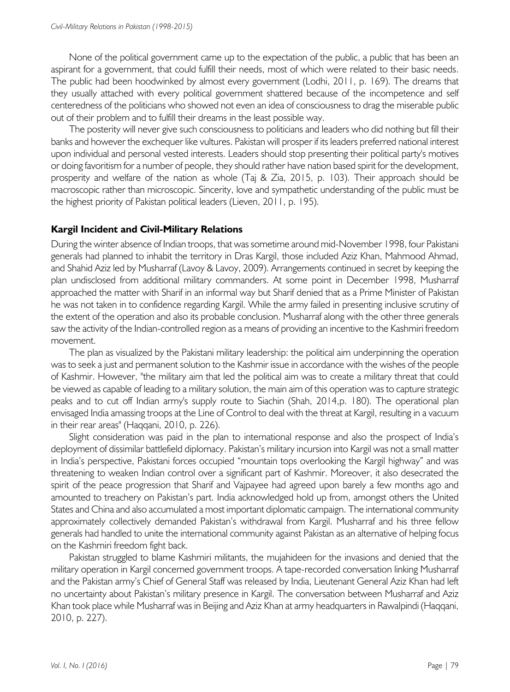None of the political government came up to the expectation of the public, a public that has been an aspirant for a government, that could fulfill their needs, most of which were related to their basic needs. The public had been hoodwinked by almost every government (Lodhi, 2011, p. 169). The dreams that they usually attached with every political government shattered because of the incompetence and self centeredness of the politicians who showed not even an idea of consciousness to drag the miserable public out of their problem and to fulfill their dreams in the least possible way.

The posterity will never give such consciousness to politicians and leaders who did nothing but fill their banks and however the exchequer like vultures. Pakistan will prosper if its leaders preferred national interest upon individual and personal vested interests. Leaders should stop presenting their political party's motives or doing favoritism for a number of people, they should rather have nation based spirit for the development, prosperity and welfare of the nation as whole (Taj & Zia, 2015, p. 103). Their approach should be macroscopic rather than microscopic. Sincerity, love and sympathetic understanding of the public must be the highest priority of Pakistan political leaders (Lieven, 2011, p. 195).

#### **Kargil Incident and Civil-Military Relations**

During the winter absence of Indian troops, that was sometime around mid-November 1998, four Pakistani generals had planned to inhabit the territory in Dras Kargil, those included Aziz Khan, Mahmood Ahmad, and Shahid Aziz led by Musharraf (Lavoy & Lavoy, 2009). Arrangements continued in secret by keeping the plan undisclosed from additional military commanders. At some point in December 1998, Musharraf approached the matter with Sharif in an informal way but Sharif denied that as a Prime Minister of Pakistan he was not taken in to confidence regarding Kargil. While the army failed in presenting inclusive scrutiny of the extent of the operation and also its probable conclusion. Musharraf along with the other three generals saw the activity of the Indian-controlled region as a means of providing an incentive to the Kashmiri freedom movement.

The plan as visualized by the Pakistani military leadership: the political aim underpinning the operation was to seek a just and permanent solution to the Kashmir issue in accordance with the wishes of the people of Kashmir. However, "the military aim that led the political aim was to create a military threat that could be viewed as capable of leading to a military solution, the main aim of this operation was to capture strategic peaks and to cut off Indian army's supply route to Siachin (Shah, 2014,p. 180). The operational plan envisaged India amassing troops at the Line of Control to deal with the threat at Kargil, resulting in a vacuum in their rear areas" (Haqqani, 2010, p. 226).

Slight consideration was paid in the plan to international response and also the prospect of India's deployment of dissimilar battlefield diplomacy. Pakistan's military incursion into Kargil was not a small matter in India's perspective, Pakistani forces occupied "mountain tops overlooking the Kargil highway" and was threatening to weaken Indian control over a significant part of Kashmir. Moreover, it also desecrated the spirit of the peace progression that Sharif and Vajpayee had agreed upon barely a few months ago and amounted to treachery on Pakistan's part. India acknowledged hold up from, amongst others the United States and China and also accumulated a most important diplomatic campaign. The international community approximately collectively demanded Pakistan's withdrawal from Kargil. Musharraf and his three fellow generals had handled to unite the international community against Pakistan as an alternative of helping focus on the Kashmiri freedom fight back.

Pakistan struggled to blame Kashmiri militants, the mujahideen for the invasions and denied that the military operation in Kargil concerned government troops. A tape-recorded conversation linking Musharraf and the Pakistan army's Chief of General Staff was released by India, Lieutenant General Aziz Khan had left no uncertainty about Pakistan's military presence in Kargil. The conversation between Musharraf and Aziz Khan took place while Musharraf was in Beijing and Aziz Khan at army headquarters in Rawalpindi (Haqqani, 2010, p. 227).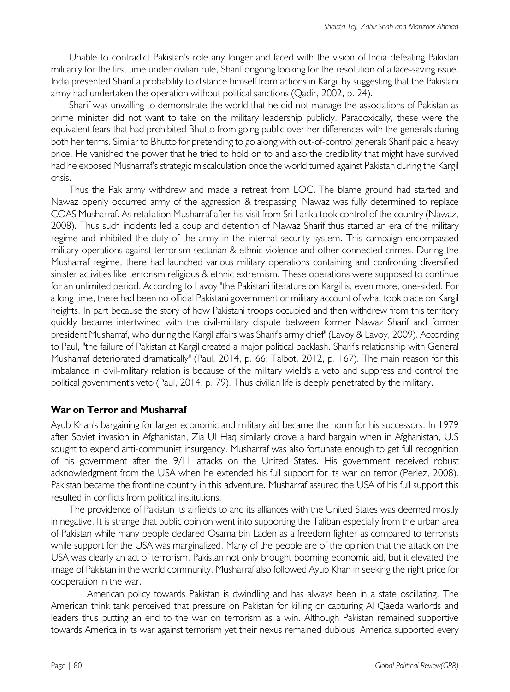Unable to contradict Pakistan's role any longer and faced with the vision of India defeating Pakistan militarily for the first time under civilian rule, Sharif ongoing looking for the resolution of a face-saving issue. India presented Sharif a probability to distance himself from actions in Kargil by suggesting that the Pakistani army had undertaken the operation without political sanctions (Qadir, 2002, p. 24).

Sharif was unwilling to demonstrate the world that he did not manage the associations of Pakistan as prime minister did not want to take on the military leadership publicly. Paradoxically, these were the equivalent fears that had prohibited Bhutto from going public over her differences with the generals during both her terms. Similar to Bhutto for pretending to go along with out-of-control generals Sharif paid a heavy price. He vanished the power that he tried to hold on to and also the credibility that might have survived had he exposed Musharraf's strategic miscalculation once the world turned against Pakistan during the Kargil crisis.

Thus the Pak army withdrew and made a retreat from LOC. The blame ground had started and Nawaz openly occurred army of the aggression & trespassing. Nawaz was fully determined to replace COAS Musharraf. As retaliation Musharraf after his visit from Sri Lanka took control of the country (Nawaz, 2008). Thus such incidents led a coup and detention of Nawaz Sharif thus started an era of the military regime and inhibited the duty of the army in the internal security system. This campaign encompassed military operations against terrorism sectarian & ethnic violence and other connected crimes. During the Musharraf regime, there had launched various military operations containing and confronting diversified sinister activities like terrorism religious & ethnic extremism. These operations were supposed to continue for an unlimited period. According to Lavoy "the Pakistani literature on Kargil is, even more, one-sided. For a long time, there had been no official Pakistani government or military account of what took place on Kargil heights. In part because the story of how Pakistani troops occupied and then withdrew from this territory quickly became intertwined with the civil-military dispute between former Nawaz Sharif and former president Musharraf, who during the Kargil affairs was Sharif's army chief" (Lavoy & Lavoy, 2009). According to Paul, "the failure of Pakistan at Kargil created a major political backlash. Sharif's relationship with General Musharraf deteriorated dramatically" (Paul, 2014, p. 66; Talbot, 2012, p. 167). The main reason for this imbalance in civil-military relation is because of the military wield's a veto and suppress and control the political government's veto (Paul, 2014, p. 79). Thus civilian life is deeply penetrated by the military.

## **War on Terror and Musharraf**

Ayub Khan's bargaining for larger economic and military aid became the norm for his successors. In 1979 after Soviet invasion in Afghanistan, Zia Ul Haq similarly drove a hard bargain when in Afghanistan, U.S sought to expend anti-communist insurgency. Musharraf was also fortunate enough to get full recognition of his government after the 9/11 attacks on the United States. His government received robust acknowledgment from the USA when he extended his full support for its war on terror (Perlez, 2008). Pakistan became the frontline country in this adventure. Musharraf assured the USA of his full support this resulted in conflicts from political institutions.

The providence of Pakistan its airfields to and its alliances with the United States was deemed mostly in negative. It is strange that public opinion went into supporting the Taliban especially from the urban area of Pakistan while many people declared Osama bin Laden as a freedom fighter as compared to terrorists while support for the USA was marginalized. Many of the people are of the opinion that the attack on the USA was clearly an act of terrorism. Pakistan not only brought booming economic aid, but it elevated the image of Pakistan in the world community. Musharraf also followed Ayub Khan in seeking the right price for cooperation in the war.

American policy towards Pakistan is dwindling and has always been in a state oscillating. The American think tank perceived that pressure on Pakistan for killing or capturing Al Qaeda warlords and leaders thus putting an end to the war on terrorism as a win. Although Pakistan remained supportive towards America in its war against terrorism yet their nexus remained dubious. America supported every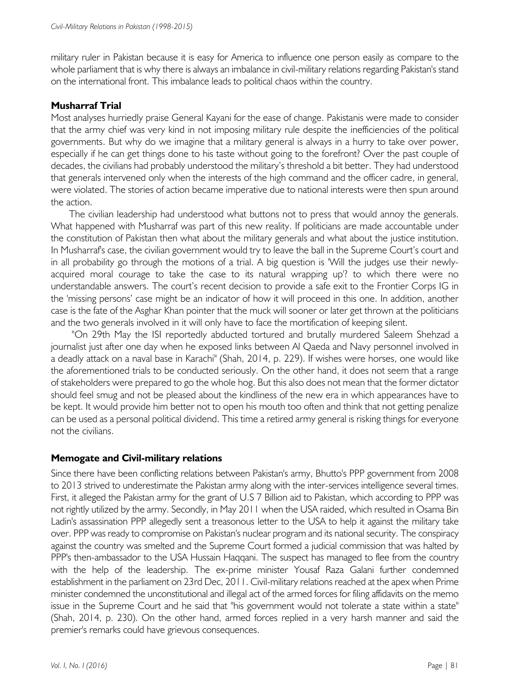military ruler in Pakistan because it is easy for America to influence one person easily as compare to the whole parliament that is why there is always an imbalance in civil-military relations regarding Pakistan's stand on the international front. This imbalance leads to political chaos within the country.

#### **Musharraf Trial**

Most analyses hurriedly praise General Kayani for the ease of change. Pakistanis were made to consider that the army chief was very kind in not imposing military rule despite the inefficiencies of the political governments. But why do we imagine that a military general is always in a hurry to take over power, especially if he can get things done to his taste without going to the forefront? Over the past couple of decades, the civilians had probably understood the military's threshold a bit better. They had understood that generals intervened only when the interests of the high command and the officer cadre, in general, were violated. The stories of action became imperative due to national interests were then spun around the action.

The civilian leadership had understood what buttons not to press that would annoy the generals. What happened with Musharraf was part of this new reality. If politicians are made accountable under the constitution of Pakistan then what about the military generals and what about the justice institution. In Musharraf's case, the civilian government would try to leave the ball in the Supreme Court's court and in all probability go through the motions of a trial. A big question is 'Will the judges use their newlyacquired moral courage to take the case to its natural wrapping up'? to which there were no understandable answers. The court's recent decision to provide a safe exit to the Frontier Corps IG in the 'missing persons' case might be an indicator of how it will proceed in this one. In addition, another case is the fate of the Asghar Khan pointer that the muck will sooner or later get thrown at the politicians and the two generals involved in it will only have to face the mortification of keeping silent.

"On 29th May the ISI reportedly abducted tortured and brutally murdered Saleem Shehzad a journalist just after one day when he exposed links between Al Qaeda and Navy personnel involved in a deadly attack on a naval base in Karachi" (Shah, 2014, p. 229). If wishes were horses, one would like the aforementioned trials to be conducted seriously. On the other hand, it does not seem that a range of stakeholders were prepared to go the whole hog. But this also does not mean that the former dictator should feel smug and not be pleased about the kindliness of the new era in which appearances have to be kept. It would provide him better not to open his mouth too often and think that not getting penalize can be used as a personal political dividend. This time a retired army general is risking things for everyone not the civilians.

## **Memogate and Civil-military relations**

Since there have been conflicting relations between Pakistan's army, Bhutto's PPP government from 2008 to 2013 strived to underestimate the Pakistan army along with the inter-services intelligence several times. First, it alleged the Pakistan army for the grant of U.S 7 Billion aid to Pakistan, which according to PPP was not rightly utilized by the army. Secondly, in May 2011 when the USA raided, which resulted in Osama Bin Ladin's assassination PPP allegedly sent a treasonous letter to the USA to help it against the military take over. PPP was ready to compromise on Pakistan's nuclear program and its national security. The conspiracy against the country was smelted and the Supreme Court formed a judicial commission that was halted by PPP's then-ambassador to the USA Hussain Haqqani. The suspect has managed to flee from the country with the help of the leadership. The ex-prime minister Yousaf Raza Galani further condemned establishment in the parliament on 23rd Dec, 2011. Civil-military relations reached at the apex when Prime minister condemned the unconstitutional and illegal act of the armed forces for filing affidavits on the memo issue in the Supreme Court and he said that "his government would not tolerate a state within a state" (Shah, 2014, p. 230). On the other hand, armed forces replied in a very harsh manner and said the premier's remarks could have grievous consequences.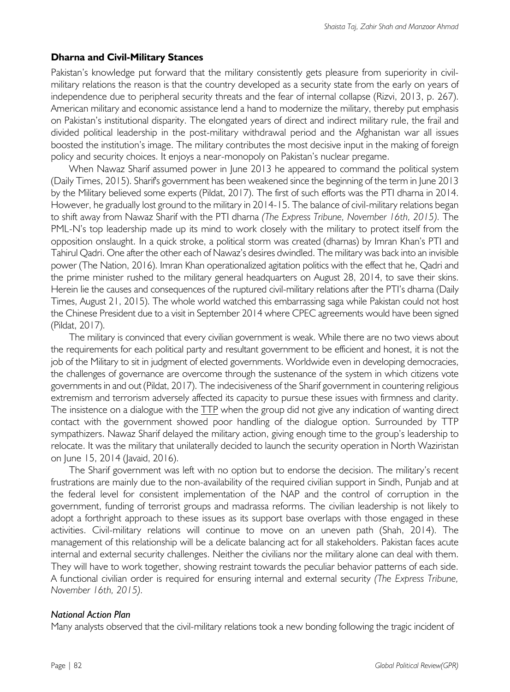#### **Dharna and Civil-Military Stances**

Pakistan's knowledge put forward that the military consistently gets pleasure from superiority in civilmilitary relations the reason is that the country developed as a security state from the early on years of independence due to peripheral security threats and the fear of internal collapse (Rizvi, 2013, p. 267). American military and economic assistance lend a hand to modernize the military, thereby put emphasis on Pakistan's institutional disparity. The elongated years of direct and indirect military rule, the frail and divided political leadership in the post-military withdrawal period and the Afghanistan war all issues boosted the institution's image. The military contributes the most decisive input in the making of foreign policy and security choices. It enjoys a near-monopoly on Pakistan's nuclear pregame.

When Nawaz Sharif assumed power in June 2013 he appeared to command the political system (Daily Times, 2015). Sharif's government has been weakened since the beginning of the term in June 2013 by the Military believed some experts (Pildat, 2017). The first of such efforts was the PTI dharna in 2014. However, he gradually lost ground to the military in 2014-15. The balance of civil-military relations began to shift away from Nawaz Sharif with the PTI dharna *(The Express Tribune, November 16th, 2015).* The PML-N's top leadership made up its mind to work closely with the military to protect itself from the opposition onslaught. In a quick stroke, a political storm was created (dharnas) by Imran Khan's PTI and Tahirul Qadri. One after the other each of Nawaz's desires dwindled. The military was back into an invisible power (The Nation, 2016). Imran Khan operationalized agitation politics with the effect that he, Qadri and the prime minister rushed to the military general headquarters on August 28, 2014, to save their skins. Herein lie the causes and consequences of the ruptured civil-military relations after the PTI's dharna (Daily Times, August 21, 2015). The whole world watched this embarrassing saga while Pakistan could not host the Chinese President due to a visit in September 2014 where CPEC agreements would have been signed (Pildat, 2017).

The military is convinced that every civilian government is weak. While there are no two views about the requirements for each political party and resultant government to be efficient and honest, it is not the job of the Military to sit in judgment of elected governments. Worldwide even in developing democracies, the challenges of governance are overcome through the sustenance of the system in which citizens vote governments in and out (Pildat, 2017). The indecisiveness of the Sharif government in countering religious extremism and terrorism adversely affected its capacity to pursue these issues with firmness and clarity. The insistence on a dialogue with the TTP when the group did not give any indication of wanting direct contact with the government showed poor handling of the dialogue option. Surrounded by TTP sympathizers. Nawaz Sharif delayed the military action, giving enough time to the group's leadership to relocate. It was the military that unilaterally decided to launch the security operation in North Waziristan on June 15, 2014 (Javaid, 2016).

The Sharif government was left with no option but to endorse the decision. The military's recent frustrations are mainly due to the non-availability of the required civilian support in Sindh, Punjab and at the federal level for consistent implementation of the NAP and the control of corruption in the government, funding of terrorist groups and madrassa reforms. The civilian leadership is not likely to adopt a forthright approach to these issues as its support base overlaps with those engaged in these activities. Civil-military relations will continue to move on an uneven path (Shah, 2014). The management of this relationship will be a delicate balancing act for all stakeholders. Pakistan faces acute internal and external security challenges. Neither the civilians nor the military alone can deal with them. They will have to work together, showing restraint towards the peculiar behavior patterns of each side. A functional civilian order is required for ensuring internal and external security *(The Express Tribune, November 16th, 2015).*

#### *National Action Plan*

Many analysts observed that the civil-military relations took a new bonding following the tragic incident of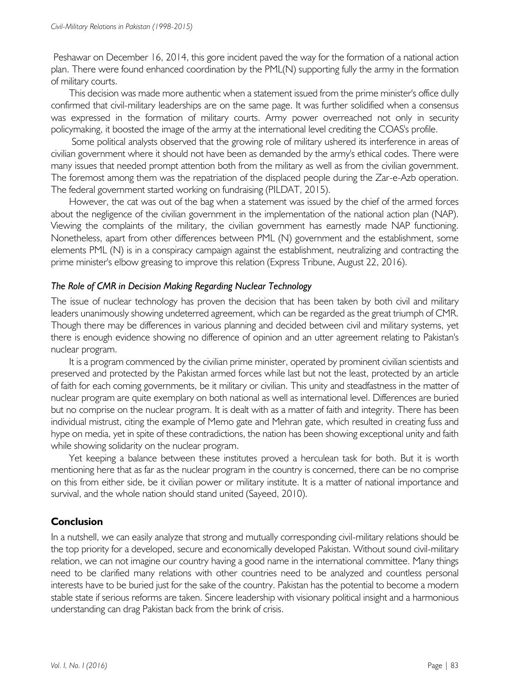Peshawar on December 16, 2014, this gore incident paved the way for the formation of a national action plan. There were found enhanced coordination by the PML(N) supporting fully the army in the formation of military courts.

This decision was made more authentic when a statement issued from the prime minister's office dully confirmed that civil-military leaderships are on the same page. It was further solidified when a consensus was expressed in the formation of military courts. Army power overreached not only in security policymaking, it boosted the image of the army at the international level crediting the COAS's profile.

Some political analysts observed that the growing role of military ushered its interference in areas of civilian government where it should not have been as demanded by the army's ethical codes. There were many issues that needed prompt attention both from the military as well as from the civilian government. The foremost among them was the repatriation of the displaced people during the Zar-e-Azb operation. The federal government started working on fundraising (PILDAT, 2015).

However, the cat was out of the bag when a statement was issued by the chief of the armed forces about the negligence of the civilian government in the implementation of the national action plan (NAP). Viewing the complaints of the military, the civilian government has earnestly made NAP functioning. Nonetheless, apart from other differences between PML (N) government and the establishment, some elements PML (N) is in a conspiracy campaign against the establishment, neutralizing and contracting the prime minister's elbow greasing to improve this relation (Express Tribune, August 22, 2016).

#### *The Role of CMR in Decision Making Regarding Nuclear Technology*

The issue of nuclear technology has proven the decision that has been taken by both civil and military leaders unanimously showing undeterred agreement, which can be regarded as the great triumph of CMR. Though there may be differences in various planning and decided between civil and military systems, yet there is enough evidence showing no difference of opinion and an utter agreement relating to Pakistan's nuclear program.

It is a program commenced by the civilian prime minister, operated by prominent civilian scientists and preserved and protected by the Pakistan armed forces while last but not the least, protected by an article of faith for each coming governments, be it military or civilian. This unity and steadfastness in the matter of nuclear program are quite exemplary on both national as well as international level. Differences are buried but no comprise on the nuclear program. It is dealt with as a matter of faith and integrity. There has been individual mistrust, citing the example of Memo gate and Mehran gate, which resulted in creating fuss and hype on media, yet in spite of these contradictions, the nation has been showing exceptional unity and faith while showing solidarity on the nuclear program.

Yet keeping a balance between these institutes proved a herculean task for both. But it is worth mentioning here that as far as the nuclear program in the country is concerned, there can be no comprise on this from either side, be it civilian power or military institute. It is a matter of national importance and survival, and the whole nation should stand united (Sayeed, 2010).

#### **Conclusion**

In a nutshell, we can easily analyze that strong and mutually corresponding civil-military relations should be the top priority for a developed, secure and economically developed Pakistan. Without sound civil-military relation, we can not imagine our country having a good name in the international committee. Many things need to be clarified many relations with other countries need to be analyzed and countless personal interests have to be buried just for the sake of the country. Pakistan has the potential to become a modern stable state if serious reforms are taken. Sincere leadership with visionary political insight and a harmonious understanding can drag Pakistan back from the brink of crisis.